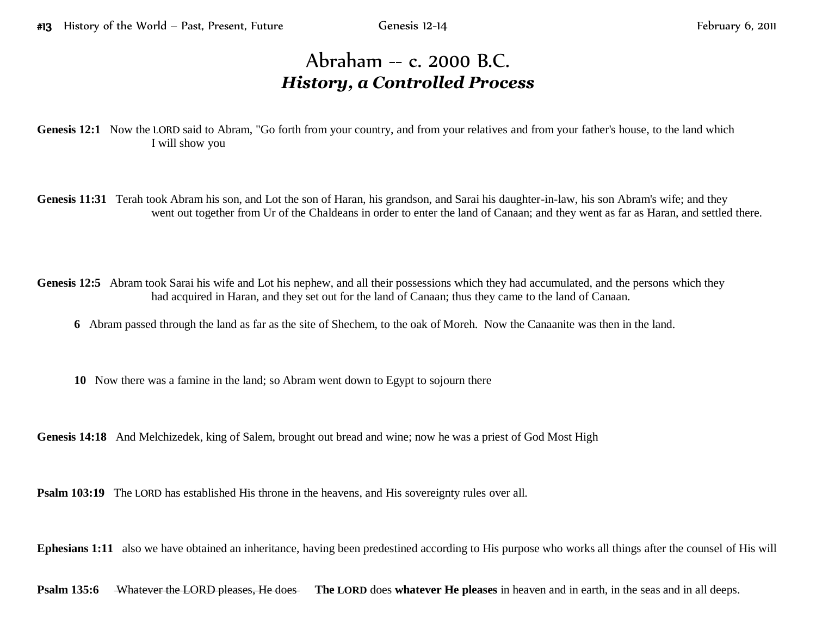## Abraham -- c. 2000 B.C. *History, a Controlled Process*

Genesis 12:1 Now the LORD said to Abram, "Go forth from your country, and from your relatives and from your father's house, to the land which I will show you

Genesis 11:31 Terah took Abram his son, and Lot the son of Haran, his grandson, and Sarai his daughter-in-law, his son Abram's wife; and they went out together from Ur of the Chaldeans in order to enter the land of Canaan; and they went as far as Haran, and settled there.

Genesis 12:5 Abram took Sarai his wife and Lot his nephew, and all their possessions which they had accumulated, and the persons which they had acquired in Haran, and they set out for the land of Canaan; thus they came to the land of Canaan.

**6** Abram passed through the land as far as the site of Shechem, to the oak of Moreh. Now the Canaanite was then in the land.

**10** Now there was a famine in the land; so Abram went down to Egypt to sojourn there

**Genesis 14:18** And Melchizedek, king of Salem, brought out bread and wine; now he was a priest of God Most High

**Psalm 103:19** The LORD has established His throne in the heavens, and His sovereignty rules over all.

**Ephesians 1:11** also we have obtained an inheritance, having been predestined according to His purpose who works all things after the counsel of His will

**Psalm 135:6** Whatever the LORD pleases, He does The LORD does whatever He pleases in heaven and in earth, in the seas and in all deeps.